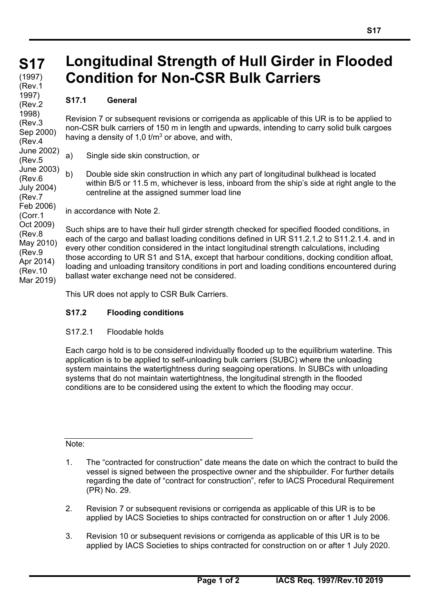#### **S17 S17 (cont)** (1997) **Longitudinal Strength of Hull Girder in Flooded Condition for Non-CSR Bulk Carriers**  (Rev.1

# **S17.1 General**

1997) (Rev.2 1998) (Rev.3 Sep 2000) (Rev.4 June 2002) (Rev.5

(Rev.6

(Rev.7 Feb 2006) (Corr.1 Oct 2009) (Rev.8 May 2010) (Rev.9 Apr 2014) (Rev.10 Mar 2019)

Revision 7 or subsequent revisions or corrigenda as applicable of this UR is to be applied to non-CSR bulk carriers of 150 m in length and upwards, intending to carry solid bulk cargoes having a density of 1,0  $t/m<sup>3</sup>$  or above, and with,

a) Single side skin construction, or

b) Double side skin construction in which any part of longitudinal bulkhead is located within B/5 or 11.5 m, whichever is less, inboard from the ship's side at right angle to the centreline at the assigned summer load line June 2003) July 2004)

in accordance with Note 2.

Such ships are to have their hull girder strength checked for specified flooded conditions, in each of the cargo and ballast loading conditions defined in UR S11.2.1.2 to S11.2.1.4. and in every other condition considered in the intact longitudinal strength calculations, including those according to UR S1 and S1A, except that harbour conditions, docking condition afloat, loading and unloading transitory conditions in port and loading conditions encountered during ballast water exchange need not be considered.

This UR does not apply to CSR Bulk Carriers.

# **S17.2 Flooding conditions**

### S17.2.1 Floodable holds

Each cargo hold is to be considered individually flooded up to the equilibrium waterline. This application is to be applied to self-unloading bulk carriers (SUBC) where the unloading system maintains the watertightness during seagoing operations. In SUBCs with unloading systems that do not maintain watertightness, the longitudinal strength in the flooded conditions are to be considered using the extent to which the flooding may occur.

Note:

 $\overline{a}$ 

- 1. The "contracted for construction" date means the date on which the contract to build the vessel is signed between the prospective owner and the shipbuilder. For further details regarding the date of "contract for construction", refer to IACS Procedural Requirement (PR) No. 29.
- 2. Revision 7 or subsequent revisions or corrigenda as applicable of this UR is to be applied by IACS Societies to ships contracted for construction on or after 1 July 2006.
- 3. Revision 10 or subsequent revisions or corrigenda as applicable of this UR is to be applied by IACS Societies to ships contracted for construction on or after 1 July 2020.